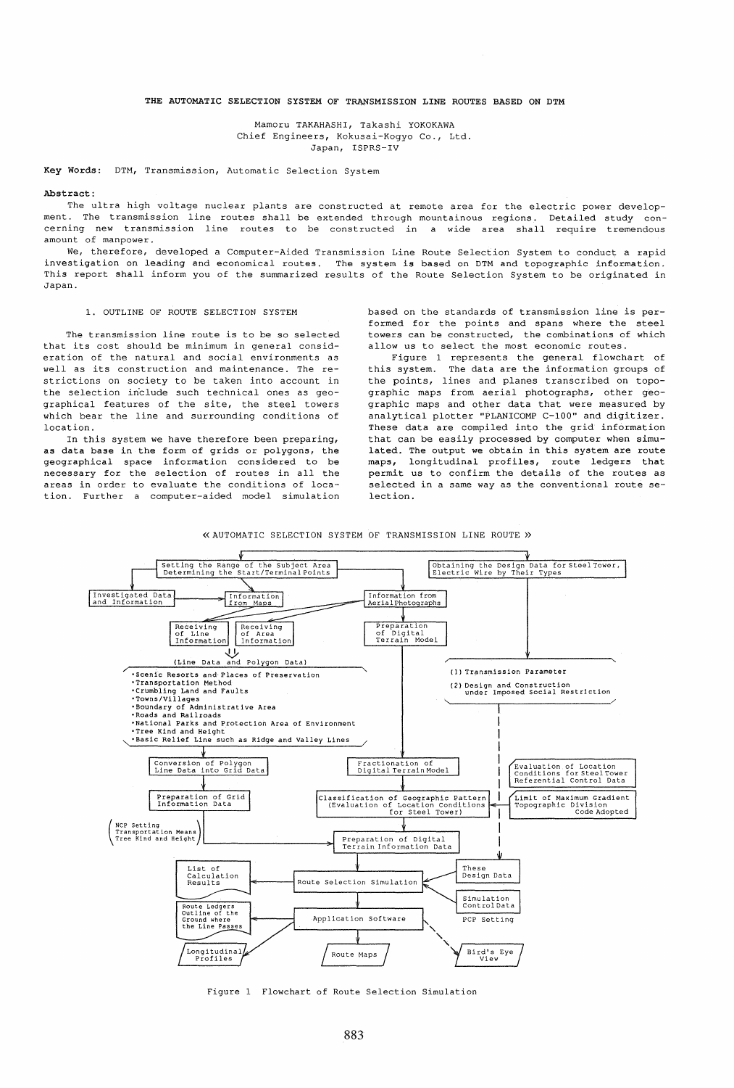### THE AUTOMATIC SELECTION SYSTEM OF TRANSMISSION LINE ROUTES BASED ON DTM

Mamoru TAKAHASHI, Takashi YOKOKAWA Chief Engineers, Kokusai-Kogyo Co., Ltd. Japan, ISPRS-IV

Key Words: DTM, Transmission, Automatic Selection System

#### Abstract:

The ultra high voltage nuclear plants are constructed at remote area for the electric power development. The transmission line routes shall be extended through mountainous regions. Detailed study concerning new transmission line routes to be constructed in a wide area shall require tremendous amount of manpower.

We, therefore, developed a Computer-Aided Transmission Line Route Selection System to conduct a rapid investigation on leading and economical routes. The system is based on DTM and topographic information. This report shall inform you of the summarized results of the Route Selection System to be originated in Japan.

### 1. OUTLINE OF ROUTE SELECTION SYSTEM

The transmission line route is to be so selected that its cost should be minimum in general consideration of the natural and social environments as well as its construction and maintenance. The restrictions on society to be taken into account in the selection include such technical ones as geographical features of the site, the steel towers which bear the line and surrounding conditions of location.

In this system we have therefore been preparing, as data base in the form of grids or polygons, the geographical space information considered to be necessary for the selection of routes in all the areas in order to evaluate the conditions of location. Further a computer-aided model simulation based on the standards of transmission line is performed for the points and spans where the steel towers can be constructed, the combinations of which allow us to select the most economic routes.

Figure 1 represents the general flowchart of this system. The data are the information groups of the points, lines and planes transcribed on topographic maps from aerial photographs, other geographic maps and other data that were measured by analytical plotter "PLANICOMP C-100" and digitizer. These data are compiled into the grid information that can be easily processed by computer when simulated. The output we obtain in this system are route maps, longitudinal profiles, route ledgers that permit us to confirm the details of the routes as selected in a same way as the conventional route selection.





Figure I Flowchart of Route Selection Simulation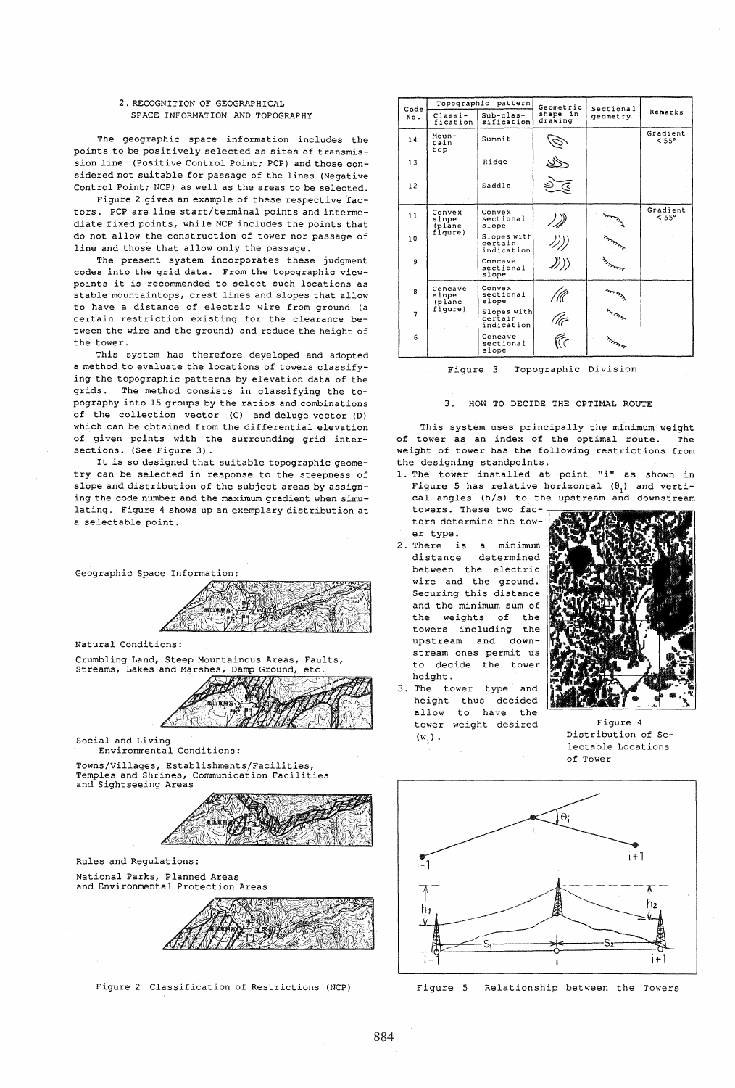## 2. RECOGNITION OF GEOGRAPHICAL SPACE INFORMATION AND TOPOGRAPHY

The geographic space information includes the points to be positively selected as *sites* of transmission line (Positive Control Point; PCP) and those considered not suitable for passage of the lines (Negative Control Point; NCP) as well as the areas to be selected.

Figure 2 gives an example of these respective factors. PCP are line start/terminal points and interme*diate* fixed points, while NCP includes the points that do not allow the construction of tower nor passage of line and those that allow only the passage.

The present system incorporates these judgment codes into the grid data. From the topographic viewpoints it is recommended to select such locations as stable mountaintops, crest lines and slopes that allow to have a distance of electric wire from ground (a certain restriction existing for the clearance between the wire and the ground) and reduce the height of the tower.

This system has therefore developed and adopted a method to evaluate the locations of towers classifying the topographic patterns by elevation data of the grids. The method consists in classifying the topography into 15 groups by the ratios and combinations of the collection vector (C) and deluge vector (D) which can be obtained from the differential elevation of given points with the surrounding grid intersections. (See Figure 3) .

It is so designed that suitable topographic geometry can be selected in response to the steepness of slope and distribution of the subject areas by assigning the code number and the maximum gradient when simulating. Figure 4 shows up an exemplary distribution at a selectable point.



Crumbling Land, Steep Mountainous Areas, Faults, Streams, Lakes and Marshes, Damp Ground, etc. Streams, Lakes and Marshes, Damp Ground,



Social and Living Environmental Conditions:

Towns/villages, Establishments/Facilities, Temples and Shrines, Communication Facilities and Sightseeing Areas



Rules and Regulations:

National Parks, Planned Areas and Environmental Protection Areas



Figure 2 Classification of Restrictions (NCP)

| Code           | pattern<br>Topographic     |                                      | Geometric           | Sectional |                   |
|----------------|----------------------------|--------------------------------------|---------------------|-----------|-------------------|
| No.            | Classi-<br>fication        | $Sub-class-$<br>sification           | shape in<br>drawing | geometry. | Remarks           |
| 14             | Moun-<br>tain<br>top       | Summit                               |                     |           | Gradient<br>< 55° |
| 13             |                            | Ridge                                |                     |           |                   |
| 12             |                            | Saddle                               | جَ                  |           |                   |
| 11             | Convex<br>slope<br>(plane  | Convex<br>sectional<br>slope         |                     |           | Gradient<br>< 55° |
| 10             | fìqure)                    | Slopes with<br>certain<br>indication |                     |           |                   |
| 9              |                            | Concave<br>sectional<br>slope        | D))                 |           |                   |
| 8              | Concave<br>slope<br>(plane | Convex<br>sectional<br>slope         | ' (((               |           |                   |
| $\overline{7}$ | fiqure)                    | Slopes with<br>certain<br>indication | The<br>Tre          |           |                   |
| 6              |                            | Concave<br>sectional<br>slope        |                     |           |                   |

Figure 3 Topographic Division

## 3. HOW TO DECIDE THE OPTIMAL ROUTE

This system uses principally the minimum weight of tower as an index of the optimal route. The weight of tower has the following restrictions from the designing standpoints.

1. The tower installed at point "i" as shown in Figure 5 has relative horizontal  $(\theta_i)$  and vertical angles (h/s) to the upstream and downstream

towers. These two factors determine the tow-

- er type. 2. There is a minimum distance determined between the electric wire and the ground. Securing this distance and the minimum sum of the weights of the towers including the upstream and downstream ones permit us to decide the tower height.
- 3. The tower type and height thus decided allow to have the tower weight desired Figure 4  $(w, )$ .



Distribution of Selectable Locations of Tower



Figure 5 Relationship between the Towers